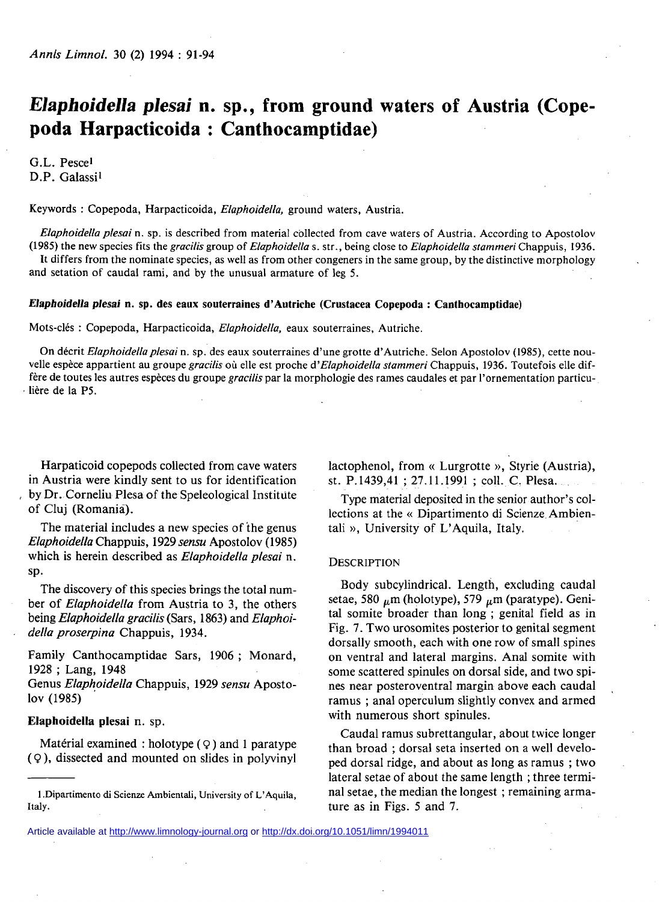# *Elaphoidella plesai* **n. sp., from ground waters of Austria (Copepoda Harpacticoida : Canthocamptidae)**

G.L. Pescel D.P. Galassi<sup>1</sup>

Keywords : Copepoda, Harpacticoida, *Elaphoidella,* ground waters, Austria.

*Elaphoidella plesai* n. sp. is described from material collected from cave waters of Austria. According to Apostolov (1985) the new species fits the *gracilis* group of *Elaphoidella* s. str., being close to *Elaphoidella stammeri* Chappuis, 1936.

It differs from the nominate species, as well as from other congeners in the same group, by the distinctive morphology and setation of caudal rami, and by the unusual armature of leg 5.

## *Elaphoidella plesai* **n. sp. des eaux souterraines d'Autriche (Crustacea Copepoda : Canthocamptidae)**

Mots-clés : Copepoda, Harpacticoida, *Elaphoidella,* eaux souterraines, Autriche.

On décrit *Elaphoidella plesai* n. sp. des eaux souterraines d'une grotte d'Autriche. Selon Apostolov (1985), cette nouvelle espèce appartient au groupe *gracilis* où elle est proche d'*Elaphoidella stammeri* Chappuis, 1936. Toutefois elle diffère de toutes les autres espèces du groupe *gracilis* par la morphologie des rames caudales et par l'ornementation particulière de la P5.

Harpaticoid copepods collected from cave waters in Austria were kindly sent to us for identification by Dr. Corneliu Plesa of the Speleological Institute of Cluj (Romania).

The material includes a new species of the genus *Elaphoidella* Chappuis, 1929 *sensu* Apostolov (1985) which is herein described as *Elaphoidella plesai* n. sp.

The discovery of this species brings the total number of *Elaphoidella* from Austria to 3, the others being *Elaphoidella gracilis* (Sars, 1863) and *Elaphoidella proserpina* Chappuis, 1934.

Family Canthocamptidae Sars, 1906 ; Monard, 1928 ; Lang, 1948

Genus *Elaphoidella* Chappuis, 1929 *sensu* Apostolov (1985)

## **Elaphoidella plesai** n. sp.

Matérial examined : holotype  $(Q)$  and 1 paratype  $(Q)$ , dissected and mounted on slides in polyvinyl lactophenol, from « Lurgrotte », Styrie (Austria), st. P. 1439,41 ; 27.11.1991 ; coll. C. Plesa.

Type material deposited in the senior author's collections at the « Dipartimento di Scienze Ambientali », University of L'Aquila, Italy.

#### **DESCRIPTION**

Body subcylindrical. Length, excluding caudal setae, 580  $\mu$ m (holotype), 579  $\mu$ m (paratype). Genital somite broader than long ; genital field as in Fig. 7. Two urosomites posterior to genital segment dorsally smooth, each with one row of small spines on ventral and lateral margins. Anal somite with some scattered spinules on dorsal side, and two spines near posteroventral margin above each caudal ramus ; anal operculum slightly convex and armed with numerous short spinules.

Caudal ramus subrettangular, about twice longer than broad ; dorsal seta inserted on a well developed dorsal ridge, and about as long as ramus ; two lateral setae of about the same length ; three terminal setae, the median the longest ; remaining armature as in Figs. 5 and 7.

**<sup>1 .</sup>Dipartimento di Scienze Ambientali, University of L'Aquila, Italy.**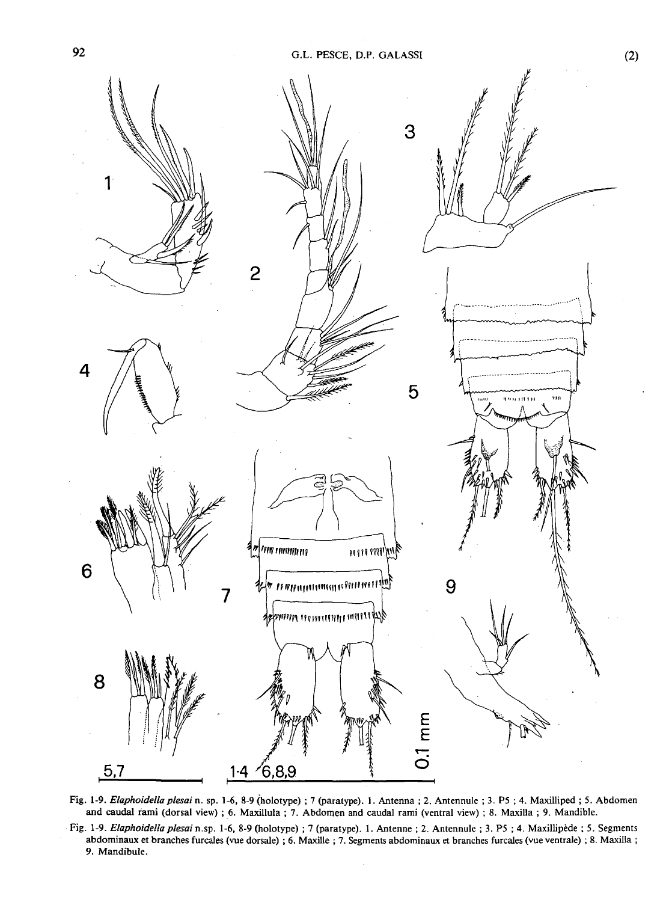

**Fig. 1-9.** *Elaphoidella plesai* **n. sp. 1-6, 8-9 (holotype) ; 7 (paratype). 1. Antenna ; 2. Antennule ; 3. P5 ; 4. Maxilliped ; 5. Abdomen and caudal rami (dorsal view) ; 6. Maxillula ; 7. Abdomen and caudal rami (ventral view) ; 8. Maxilla ; 9. Mandible.** 

**Fig. 1-9.** *Elaphoidella plesai* **n.sp. 1-6, 8-9 (holotype) ; 7 (paratype). 1. Antenne ; 2. Antennule ; 3. P5 ; 4. Maxillipède ; 5. Segments abdominaux et branches furcales (vue dorsale) ; 6. Maxille ; 7. Segments abdominaux et branches furcales (vue ventrale) ; 8. Maxilla ; 9. Mandibule.**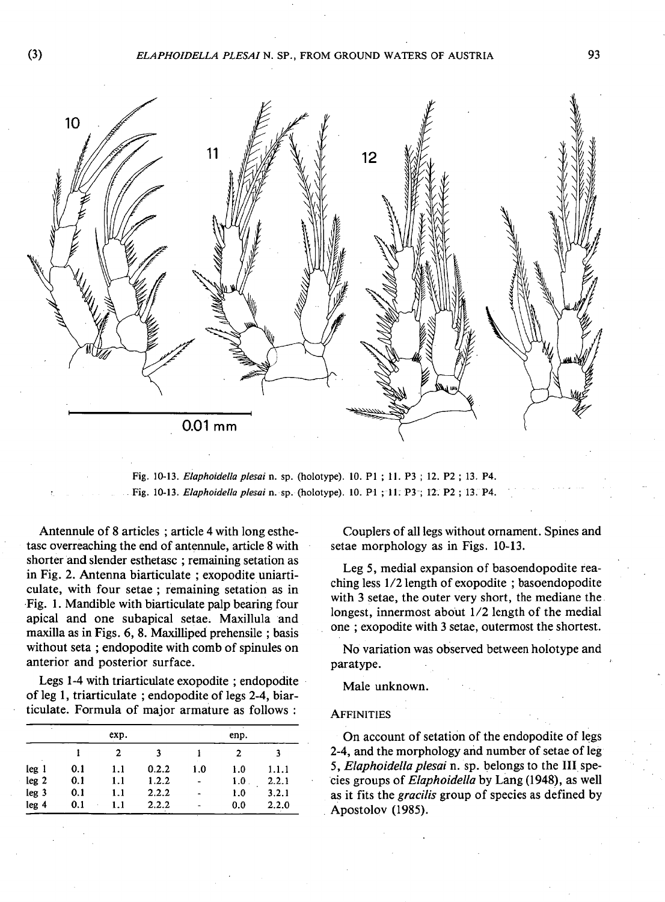## (3) *ELAPHOIDELLA PLESAI* **N. SP., FROM GROUND WATERS OF AUSTRIA** 93



**Fig. 10-13.** *Elaphoidella plesai* **n. sp. (holotype). 10. PI ; 11. P3 ; 12. P2 ; 13. P4. Fig. 10-13.** *Elaphoidella plesai* **n. sp. (holotype). 10. PI ; 11. P3 ; 12. P2 ; 13. P4.** 

Antennule of 8 articles ; article 4 with long esthetasc overreaching the end of antennule, article 8 with shorter and slender esthetasc ; remaining setation as in Fig. 2. Antenna biarticulate ; exopodite uniarticulate, with four setae ; remaining setation as in Fig. 1. Mandible with biarticulate palp bearing four apical and one subapical setae. Maxillula and maxilla as in Figs. 6, 8. Maxilliped prehensile ; basis without seta ; endopodite with comb of spinules on anterior and posterior surface.

Legs 1-4 with triarticulate exopodite ; endopodite of leg 1, triarticulate; endopodite of legs 2-4, biarticulate. Formula of major armature as follows :

| ٠                | exp. |     |       | enp. |      |       |
|------------------|------|-----|-------|------|------|-------|
|                  |      | 2   |       |      | 2    |       |
| leg <sub>1</sub> | 0.1  | 1.1 | 0.2.2 | 1.0  | 1.0  | 1.1.1 |
| leg <sub>2</sub> | 0.1  | 1.1 | 1.2.2 |      | 1.0. | 2.2.1 |
| leg <sub>3</sub> | 0.1  | 1.1 | 2.2.2 |      | 1.0  | 3.2.1 |
| leg 4            | 0.1  | 1.1 | 2.2.2 |      | 0.0  | 2.2.0 |
|                  |      |     |       |      |      |       |

Couplers of all legs without ornament. Spines and setae morphology as in Figs. 10-13.

Leg 5, medial expansion of basoendopodite reaching less 1/2 length of exopodite ; basoendopodite with 3 setae, the outer very short, the mediane the longest, innermost about 1/2 length of the medial one ; exopodite with 3 setae, outermost the shortest.

No variation was observed between holotype and paratype.

Male unknown.

## **AFFINITIES**

On account of setation of the endopodite of legs 2-4, and the morphology and number of setae of leg 5, *Elaphoidella plesai* n. sp. belongs to the III species groups of *Elaphoidella* by Lang (1948), as well as it fits the *gracilis* group of species as defined by Apostolov (1985).